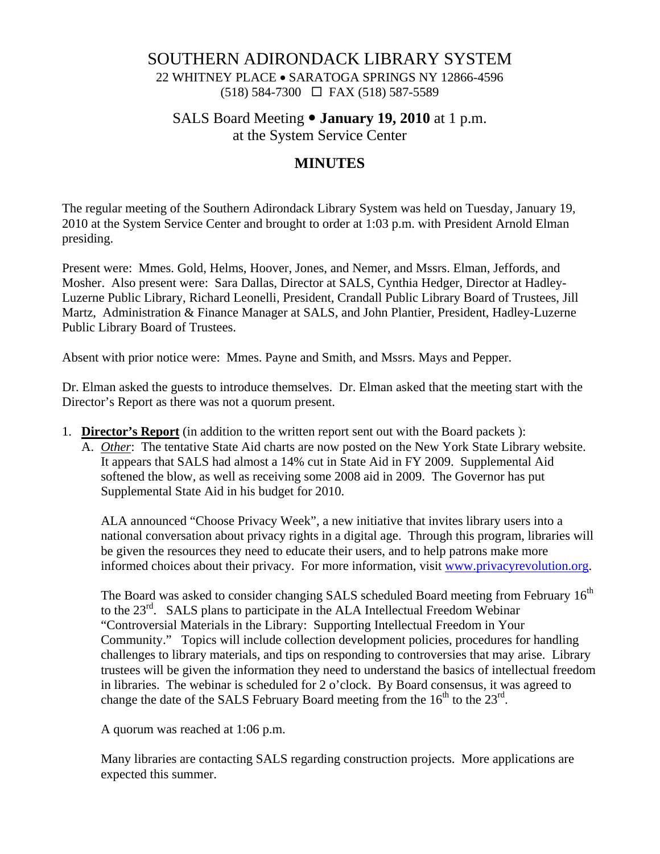## SOUTHERN ADIRONDACK LIBRARY SYSTEM

22 WHITNEY PLACE • SARATOGA SPRINGS NY 12866-4596 (518) 584-7300 FAX (518) 587-5589

SALS Board Meeting  $\bullet$  **January 19, 2010** at 1 p.m.

at the System Service Center

# **MINUTES**

The regular meeting of the Southern Adirondack Library System was held on Tuesday, January 19, 2010 at the System Service Center and brought to order at 1:03 p.m. with President Arnold Elman presiding.

Present were: Mmes. Gold, Helms, Hoover, Jones, and Nemer, and Mssrs. Elman, Jeffords, and Mosher. Also present were: Sara Dallas, Director at SALS, Cynthia Hedger, Director at Hadley-Luzerne Public Library, Richard Leonelli, President, Crandall Public Library Board of Trustees, Jill Martz, Administration & Finance Manager at SALS, and John Plantier, President, Hadley-Luzerne Public Library Board of Trustees.

Absent with prior notice were: Mmes. Payne and Smith, and Mssrs. Mays and Pepper.

Dr. Elman asked the guests to introduce themselves. Dr. Elman asked that the meeting start with the Director's Report as there was not a quorum present.

- 1. **Director's Report** (in addition to the written report sent out with the Board packets ):
	- A. *Other*: The tentative State Aid charts are now posted on the New York State Library website. It appears that SALS had almost a 14% cut in State Aid in FY 2009. Supplemental Aid softened the blow, as well as receiving some 2008 aid in 2009. The Governor has put Supplemental State Aid in his budget for 2010.

ALA announced "Choose Privacy Week", a new initiative that invites library users into a national conversation about privacy rights in a digital age. Through this program, libraries will be given the resources they need to educate their users, and to help patrons make more informed choices about their privacy. For more information, visit www.privacyrevolution.org.

The Board was asked to consider changing SALS scheduled Board meeting from February  $16<sup>th</sup>$ to the  $23<sup>rd</sup>$ . SALS plans to participate in the ALA Intellectual Freedom Webinar "Controversial Materials in the Library: Supporting Intellectual Freedom in Your Community." Topics will include collection development policies, procedures for handling challenges to library materials, and tips on responding to controversies that may arise. Library trustees will be given the information they need to understand the basics of intellectual freedom in libraries. The webinar is scheduled for 2 o'clock. By Board consensus, it was agreed to change the date of the SALS February Board meeting from the  $16<sup>th</sup>$  to the  $23<sup>rd</sup>$ .

A quorum was reached at 1:06 p.m.

Many libraries are contacting SALS regarding construction projects. More applications are expected this summer.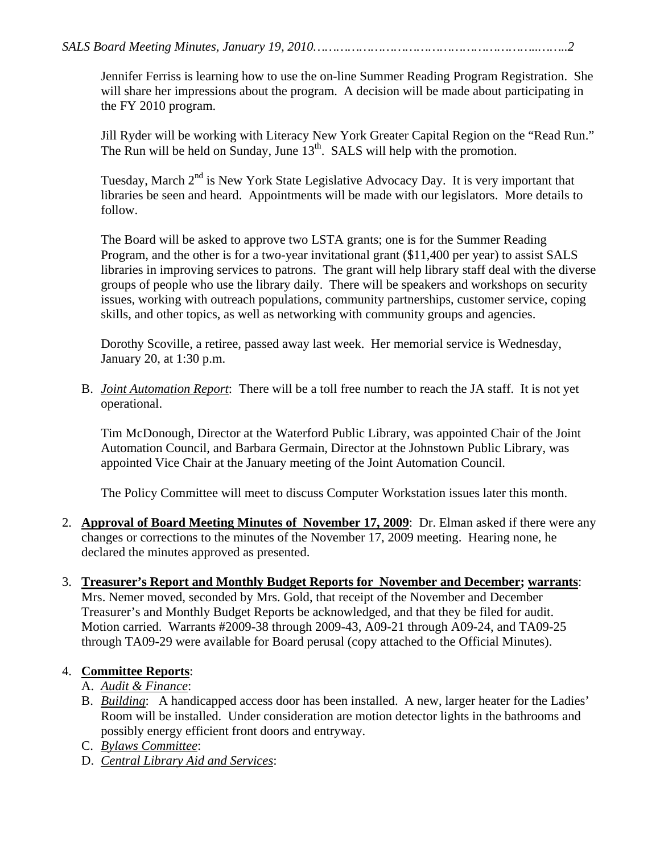Jennifer Ferriss is learning how to use the on-line Summer Reading Program Registration. She will share her impressions about the program. A decision will be made about participating in the FY 2010 program.

Jill Ryder will be working with Literacy New York Greater Capital Region on the "Read Run." The Run will be held on Sunday, June  $13<sup>th</sup>$ . SALS will help with the promotion.

Tuesday, March  $2^{nd}$  is New York State Legislative Advocacy Day. It is very important that libraries be seen and heard. Appointments will be made with our legislators. More details to follow.

The Board will be asked to approve two LSTA grants; one is for the Summer Reading Program, and the other is for a two-year invitational grant (\$11,400 per year) to assist SALS libraries in improving services to patrons. The grant will help library staff deal with the diverse groups of people who use the library daily. There will be speakers and workshops on security issues, working with outreach populations, community partnerships, customer service, coping skills, and other topics, as well as networking with community groups and agencies.

Dorothy Scoville, a retiree, passed away last week. Her memorial service is Wednesday, January 20, at 1:30 p.m.

B. *Joint Automation Report*: There will be a toll free number to reach the JA staff. It is not yet operational.

Tim McDonough, Director at the Waterford Public Library, was appointed Chair of the Joint Automation Council, and Barbara Germain, Director at the Johnstown Public Library, was appointed Vice Chair at the January meeting of the Joint Automation Council.

The Policy Committee will meet to discuss Computer Workstation issues later this month.

2. **Approval of Board Meeting Minutes of November 17, 2009**: Dr. Elman asked if there were any changes or corrections to the minutes of the November 17, 2009 meeting. Hearing none, he declared the minutes approved as presented.

#### 3. **Treasurer's Report and Monthly Budget Reports for November and December; warrants**: Mrs. Nemer moved, seconded by Mrs. Gold, that receipt of the November and December Treasurer's and Monthly Budget Reports be acknowledged, and that they be filed for audit. Motion carried. Warrants #2009-38 through 2009-43, A09-21 through A09-24, and TA09-25

through TA09-29 were available for Board perusal (copy attached to the Official Minutes).

## 4. **Committee Reports**:

## A. *Audit & Finance*:

- B. *Building*: A handicapped access door has been installed. A new, larger heater for the Ladies' Room will be installed. Under consideration are motion detector lights in the bathrooms and possibly energy efficient front doors and entryway.
- C. *Bylaws Committee*:
- D. *Central Library Aid and Services*: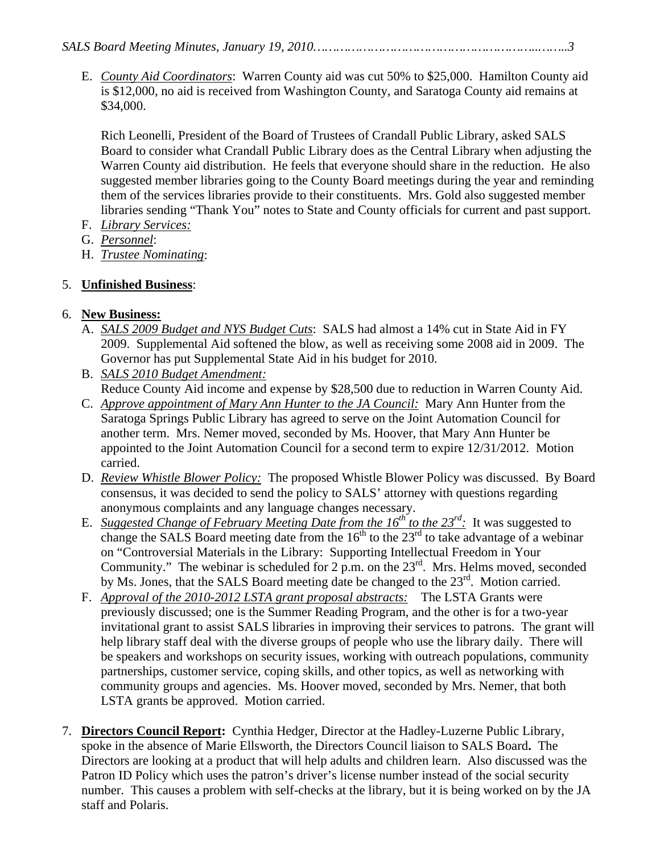E. *County Aid Coordinators*: Warren County aid was cut 50% to \$25,000. Hamilton County aid is \$12,000, no aid is received from Washington County, and Saratoga County aid remains at \$34,000.

Rich Leonelli, President of the Board of Trustees of Crandall Public Library, asked SALS Board to consider what Crandall Public Library does as the Central Library when adjusting the Warren County aid distribution. He feels that everyone should share in the reduction. He also suggested member libraries going to the County Board meetings during the year and reminding them of the services libraries provide to their constituents. Mrs. Gold also suggested member libraries sending "Thank You" notes to State and County officials for current and past support.

- F. *Library Services:*
- G. *Personnel*:
- H. *Trustee Nominating*:

## 5. **Unfinished Business**:

## 6. **New Business:**

- A. *SALS 2009 Budget and NYS Budget Cuts*: SALS had almost a 14% cut in State Aid in FY 2009. Supplemental Aid softened the blow, as well as receiving some 2008 aid in 2009. The Governor has put Supplemental State Aid in his budget for 2010.
- B. *SALS 2010 Budget Amendment:* Reduce County Aid income and expense by \$28,500 due to reduction in Warren County Aid.
- C. *Approve appointment of Mary Ann Hunter to the JA Council:* Mary Ann Hunter from the Saratoga Springs Public Library has agreed to serve on the Joint Automation Council for another term. Mrs. Nemer moved, seconded by Ms. Hoover, that Mary Ann Hunter be appointed to the Joint Automation Council for a second term to expire 12/31/2012. Motion carried.
- D. *Review Whistle Blower Policy:* The proposed Whistle Blower Policy was discussed. By Board consensus, it was decided to send the policy to SALS' attorney with questions regarding anonymous complaints and any language changes necessary.
- E. *Suggested Change of February Meeting Date from the 16<sup>th</sup> to the 23<sup>rd</sup>: It was suggested to* change the SALS Board meeting date from the  $16<sup>th</sup>$  to the  $23<sup>rd</sup>$  to take advantage of a webinar on "Controversial Materials in the Library: Supporting Intellectual Freedom in Your Community." The webinar is scheduled for 2 p.m. on the  $23^{rd}$ . Mrs. Helms moved, seconded by Ms. Jones, that the SALS Board meeting date be changed to the 23<sup>rd</sup>. Motion carried.
- F. *Approval of the 2010-2012 LSTA grant proposal abstracts:* The LSTA Grants were previously discussed; one is the Summer Reading Program, and the other is for a two-year invitational grant to assist SALS libraries in improving their services to patrons. The grant will help library staff deal with the diverse groups of people who use the library daily. There will be speakers and workshops on security issues, working with outreach populations, community partnerships, customer service, coping skills, and other topics, as well as networking with community groups and agencies. Ms. Hoover moved, seconded by Mrs. Nemer, that both LSTA grants be approved. Motion carried.
- 7. **Directors Council Report:** Cynthia Hedger, Director at the Hadley-Luzerne Public Library, spoke in the absence of Marie Ellsworth, the Directors Council liaison to SALS Board**.** The Directors are looking at a product that will help adults and children learn. Also discussed was the Patron ID Policy which uses the patron's driver's license number instead of the social security number. This causes a problem with self-checks at the library, but it is being worked on by the JA staff and Polaris.